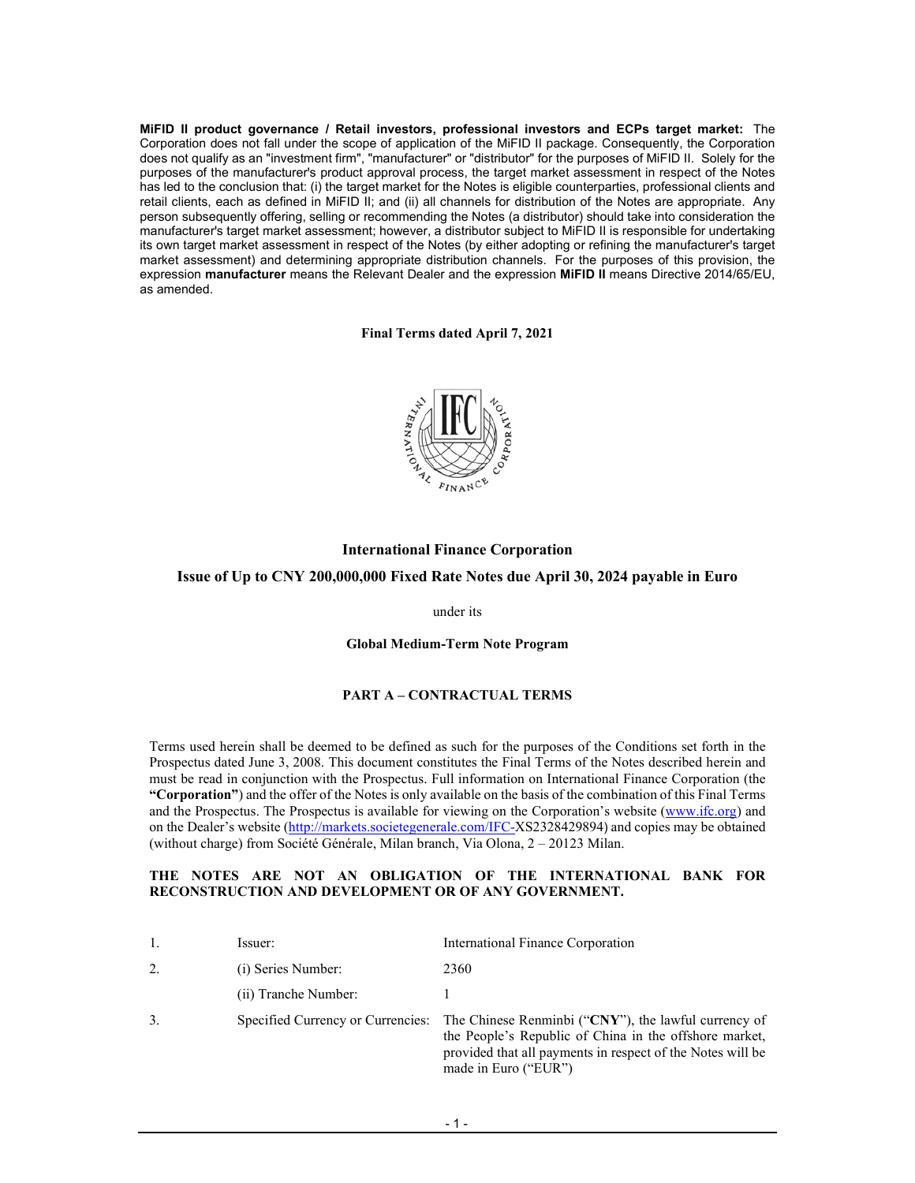**MiFID II product governance / Retail investors, professional investors and ECPs target market:** The Corporation does not fall under the scope of application of the MiFID II package. Consequently, the Corporation does not qualify as an "investment firm", "manufacturer" or "distributor" for the purposes of MiFID II. Solely for the purposes of the manufacturer's product approval process, the target market assessment in respect of the Notes has led to the conclusion that: (i) the target market for the Notes is eligible counterparties, professional clients and retail clients, each as defined in MiFID II; and (ii) all channels for distribution of the Notes are appropriate. Any person subsequently offering, selling or recommending the Notes (a distributor) should take into consideration the manufacturer's target market assessment; however, a distributor subject to MiFID II is responsible for undertaking its own target market assessment in respect of the Notes (by either adopting or refining the manufacturer's target market assessment) and determining appropriate distribution channels. For the purposes of this provision, the expression **manufacturer** means the Relevant Dealer and the expression **MiFID II** means Directive 2014/65/EU, as amended.

**Final Terms dated April 7, 2021** 



# **International Finance Corporation Issue of Up to CNY 200,000,000 Fixed Rate Notes due April 30, 2024 payable in Euro**

under its

**Global Medium-Term Note Program**

## **PART A – CONTRACTUAL TERMS**

Terms used herein shall be deemed to be defined as such for the purposes of the Conditions set forth in the Prospectus dated June 3, 2008. This document constitutes the Final Terms of the Notes described herein and must be read in conjunction with the Prospectus. Full information on International Finance Corporation (the **"Corporation"**) and the offer of the Notes is only available on the basis of the combination of this Final Terms and the Prospectus. The Prospectus is available for viewing on the Corporation's website (www.ifc.org) and on the Dealer's website (http://markets.societegenerale.com/IFC-XS2328429894) and copies may be obtained (without charge) from Société Générale, Milan branch, Via Olona, 2 – 20123 Milan.

#### **THE NOTES ARE NOT AN OBLIGATION OF THE INTERNATIONAL BANK FOR RECONSTRUCTION AND DEVELOPMENT OR OF ANY GOVERNMENT.**

|    | Issuer:              | International Finance Corporation                                                                                                                                                                                                      |
|----|----------------------|----------------------------------------------------------------------------------------------------------------------------------------------------------------------------------------------------------------------------------------|
| 2. | (i) Series Number:   | 2360                                                                                                                                                                                                                                   |
|    | (ii) Tranche Number: |                                                                                                                                                                                                                                        |
| 3. |                      | Specified Currency or Currencies: The Chinese Renminbi ("CNY"), the lawful currency of<br>the People's Republic of China in the offshore market,<br>provided that all payments in respect of the Notes will be<br>made in Euro ("EUR") |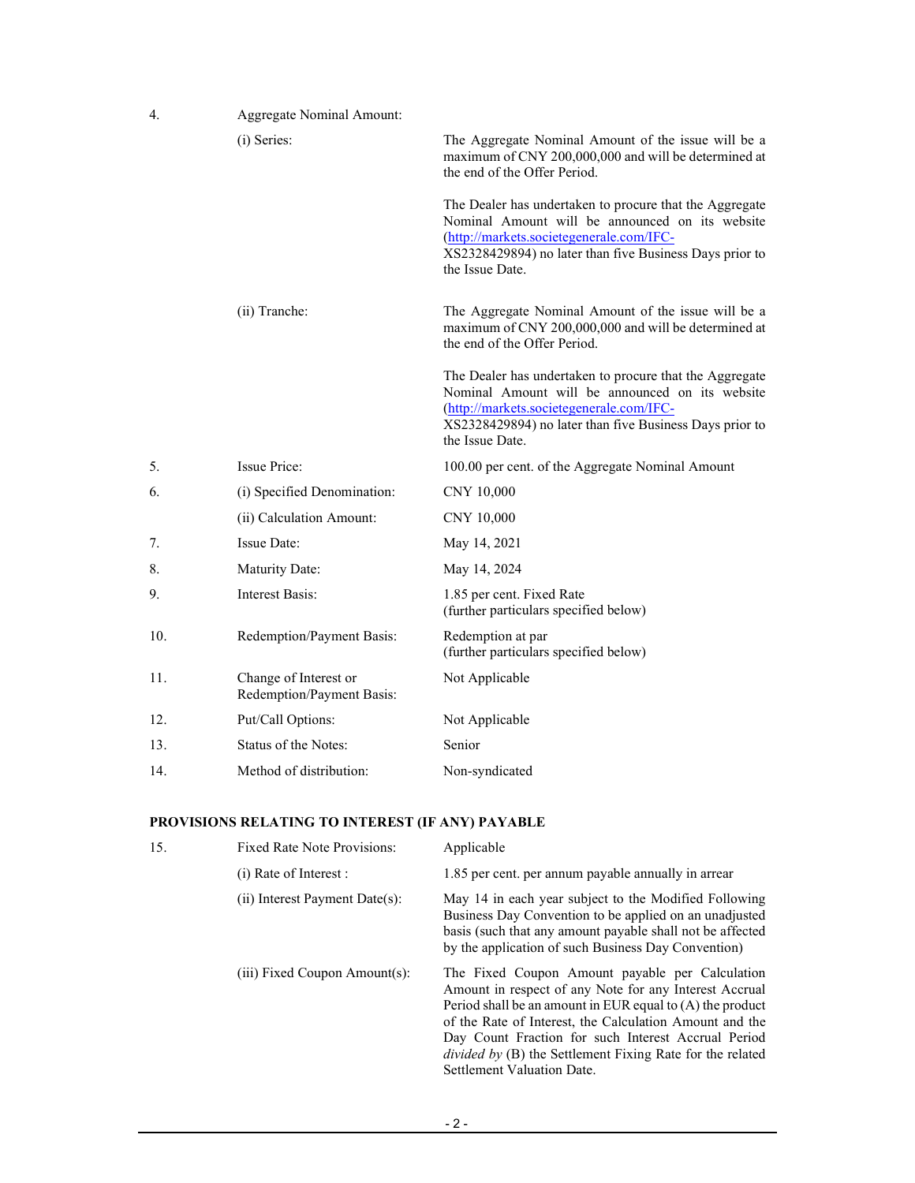| 4.  | <b>Aggregate Nominal Amount:</b>                   |                                                                                                                                                                                                                                      |
|-----|----------------------------------------------------|--------------------------------------------------------------------------------------------------------------------------------------------------------------------------------------------------------------------------------------|
|     | (i) Series:                                        | The Aggregate Nominal Amount of the issue will be a<br>maximum of CNY 200,000,000 and will be determined at<br>the end of the Offer Period.                                                                                          |
|     |                                                    | The Dealer has undertaken to procure that the Aggregate<br>Nominal Amount will be announced on its website<br>(http://markets.societegenerale.com/IFC-<br>XS2328429894) no later than five Business Days prior to<br>the Issue Date. |
|     | (ii) Tranche:                                      | The Aggregate Nominal Amount of the issue will be a<br>maximum of CNY 200,000,000 and will be determined at<br>the end of the Offer Period.                                                                                          |
|     |                                                    | The Dealer has undertaken to procure that the Aggregate<br>Nominal Amount will be announced on its website<br>(http://markets.societegenerale.com/IFC-<br>XS2328429894) no later than five Business Days prior to<br>the Issue Date. |
| 5.  | <b>Issue Price:</b>                                | 100.00 per cent. of the Aggregate Nominal Amount                                                                                                                                                                                     |
| 6.  | (i) Specified Denomination:                        | CNY 10,000                                                                                                                                                                                                                           |
|     | (ii) Calculation Amount:                           | CNY 10,000                                                                                                                                                                                                                           |
| 7.  | Issue Date:                                        | May 14, 2021                                                                                                                                                                                                                         |
| 8.  | Maturity Date:                                     | May 14, 2024                                                                                                                                                                                                                         |
| 9.  | Interest Basis:                                    | 1.85 per cent. Fixed Rate<br>(further particulars specified below)                                                                                                                                                                   |
| 10. | Redemption/Payment Basis:                          | Redemption at par<br>(further particulars specified below)                                                                                                                                                                           |
| 11. | Change of Interest or<br>Redemption/Payment Basis: | Not Applicable                                                                                                                                                                                                                       |
| 12. | Put/Call Options:                                  | Not Applicable                                                                                                                                                                                                                       |
| 13. | Status of the Notes:                               | Senior                                                                                                                                                                                                                               |
| 14. | Method of distribution:                            | Non-syndicated                                                                                                                                                                                                                       |

# **PROVISIONS RELATING TO INTEREST (IF ANY) PAYABLE**

| 15. | <b>Fixed Rate Note Provisions:</b>   | Applicable                                                                                                                                                                                                                                                                                                                                                                                   |
|-----|--------------------------------------|----------------------------------------------------------------------------------------------------------------------------------------------------------------------------------------------------------------------------------------------------------------------------------------------------------------------------------------------------------------------------------------------|
|     | (i) Rate of Interest :               | 1.85 per cent. per annum payable annually in arrear                                                                                                                                                                                                                                                                                                                                          |
|     | $(ii)$ Interest Payment Date $(s)$ : | May 14 in each year subject to the Modified Following<br>Business Day Convention to be applied on an unadjusted<br>basis (such that any amount payable shall not be affected<br>by the application of such Business Day Convention)                                                                                                                                                          |
|     | $(iii)$ Fixed Coupon Amount $(s)$ :  | The Fixed Coupon Amount payable per Calculation<br>Amount in respect of any Note for any Interest Accrual<br>Period shall be an amount in EUR equal to $(A)$ the product<br>of the Rate of Interest, the Calculation Amount and the<br>Day Count Fraction for such Interest Accrual Period<br><i>divided by (B)</i> the Settlement Fixing Rate for the related<br>Settlement Valuation Date. |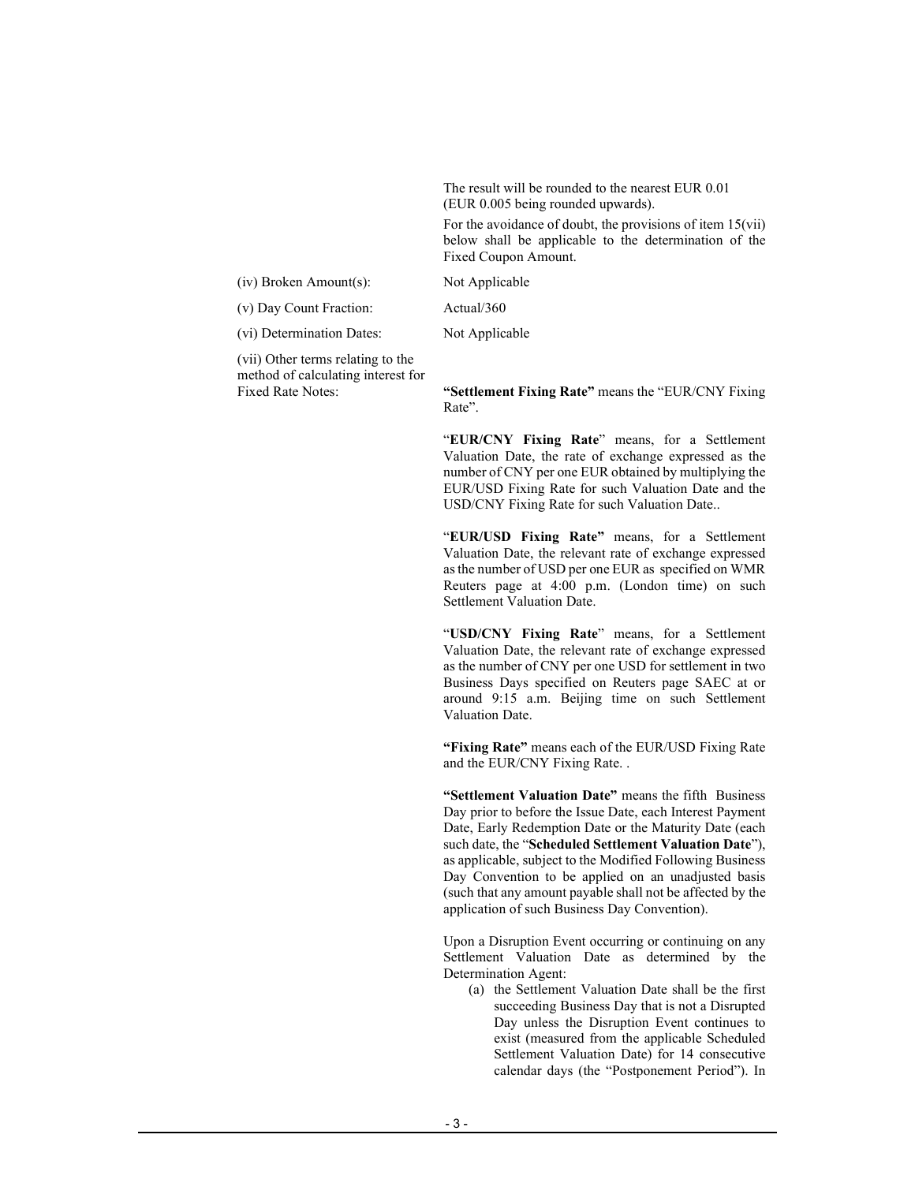The result will be rounded to the nearest EUR 0.01 (EUR 0.005 being rounded upwards).

For the avoidance of doubt, the provisions of item  $15(vii)$ below shall be applicable to the determination of the Fixed Coupon Amount.

(iv) Broken Amount(s): Not Applicable

(v) Day Count Fraction: Actual/360

(vi) Determination Dates: Not Applicable

 (vii) Other terms relating to the method of calculating interest for

Fixed Rate Notes: **"Settlement Fixing Rate"** means the "EUR/CNY Fixing Rate".

> "**EUR/CNY Fixing Rate**" means, for a Settlement Valuation Date, the rate of exchange expressed as the number of CNY per one EUR obtained by multiplying the EUR/USD Fixing Rate for such Valuation Date and the USD/CNY Fixing Rate for such Valuation Date..

> "**EUR/USD Fixing Rate"** means, for a Settlement Valuation Date, the relevant rate of exchange expressed as the number of USD per one EUR as specified on WMR Reuters page at 4:00 p.m. (London time) on such Settlement Valuation Date.

> "**USD/CNY Fixing Rate**" means, for a Settlement Valuation Date, the relevant rate of exchange expressed as the number of CNY per one USD for settlement in two Business Days specified on Reuters page SAEC at or around 9:15 a.m. Beijing time on such Settlement Valuation Date.

> **"Fixing Rate"** means each of the EUR/USD Fixing Rate and the EUR/CNY Fixing Rate. .

> **"Settlement Valuation Date"** means the fifth Business Day prior to before the Issue Date, each Interest Payment Date, Early Redemption Date or the Maturity Date (each such date, the "**Scheduled Settlement Valuation Date**"), as applicable, subject to the Modified Following Business Day Convention to be applied on an unadjusted basis (such that any amount payable shall not be affected by the application of such Business Day Convention).

> Upon a Disruption Event occurring or continuing on any Settlement Valuation Date as determined by the Determination Agent:

(a) the Settlement Valuation Date shall be the first succeeding Business Day that is not a Disrupted Day unless the Disruption Event continues to exist (measured from the applicable Scheduled Settlement Valuation Date) for 14 consecutive calendar days (the "Postponement Period"). In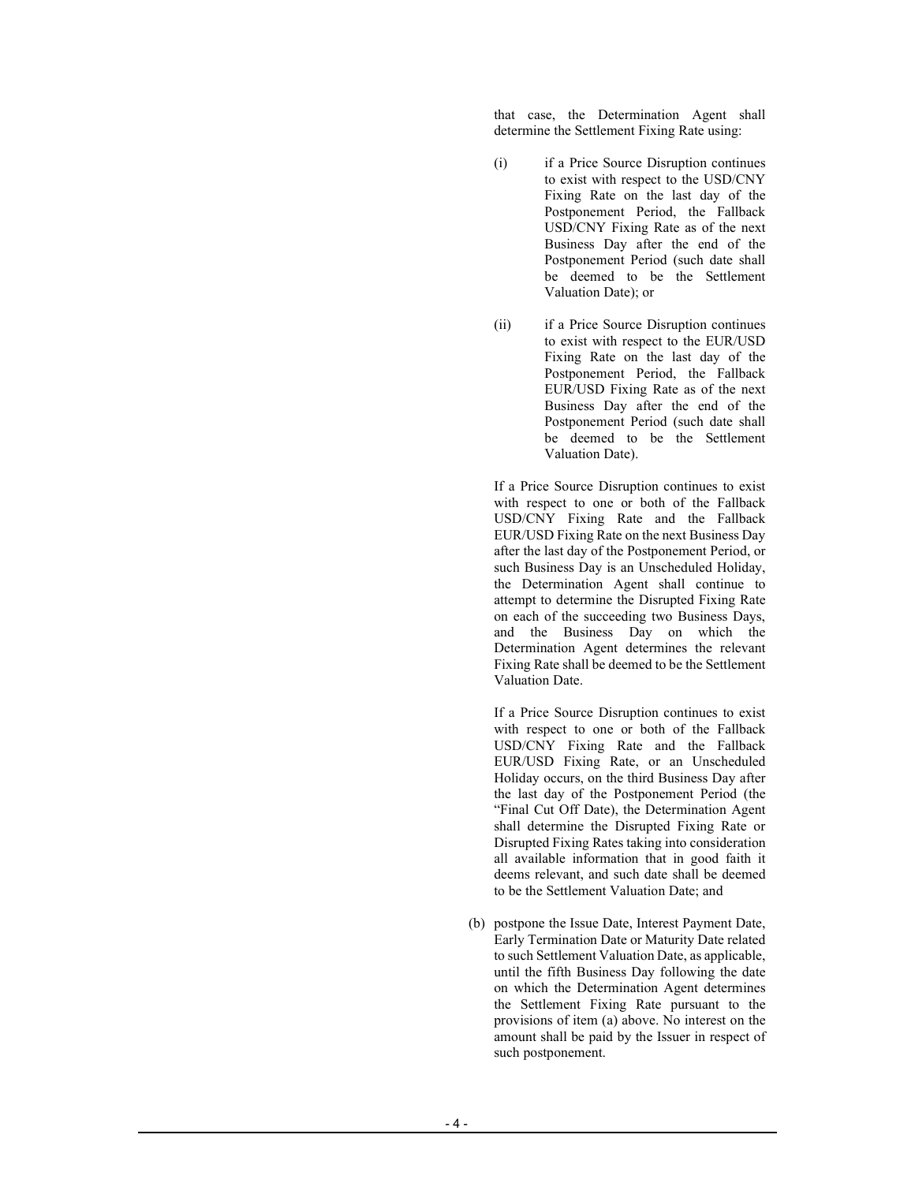that case, the Determination Agent shall determine the Settlement Fixing Rate using:

- (i) if a Price Source Disruption continues to exist with respect to the USD/CNY Fixing Rate on the last day of the Postponement Period, the Fallback USD/CNY Fixing Rate as of the next Business Day after the end of the Postponement Period (such date shall be deemed to be the Settlement Valuation Date); or
- (ii) if a Price Source Disruption continues to exist with respect to the EUR/USD Fixing Rate on the last day of the Postponement Period, the Fallback EUR/USD Fixing Rate as of the next Business Day after the end of the Postponement Period (such date shall be deemed to be the Settlement Valuation Date).

If a Price Source Disruption continues to exist with respect to one or both of the Fallback USD/CNY Fixing Rate and the Fallback EUR/USD Fixing Rate on the next Business Day after the last day of the Postponement Period, or such Business Day is an Unscheduled Holiday, the Determination Agent shall continue to attempt to determine the Disrupted Fixing Rate on each of the succeeding two Business Days, and the Business Day on which the Determination Agent determines the relevant Fixing Rate shall be deemed to be the Settlement Valuation Date.

If a Price Source Disruption continues to exist with respect to one or both of the Fallback USD/CNY Fixing Rate and the Fallback EUR/USD Fixing Rate, or an Unscheduled Holiday occurs, on the third Business Day after the last day of the Postponement Period (the "Final Cut Off Date), the Determination Agent shall determine the Disrupted Fixing Rate or Disrupted Fixing Rates taking into consideration all available information that in good faith it deems relevant, and such date shall be deemed to be the Settlement Valuation Date; and

(b) postpone the Issue Date, Interest Payment Date, Early Termination Date or Maturity Date related to such Settlement Valuation Date, as applicable, until the fifth Business Day following the date on which the Determination Agent determines the Settlement Fixing Rate pursuant to the provisions of item (a) above. No interest on the amount shall be paid by the Issuer in respect of such postponement.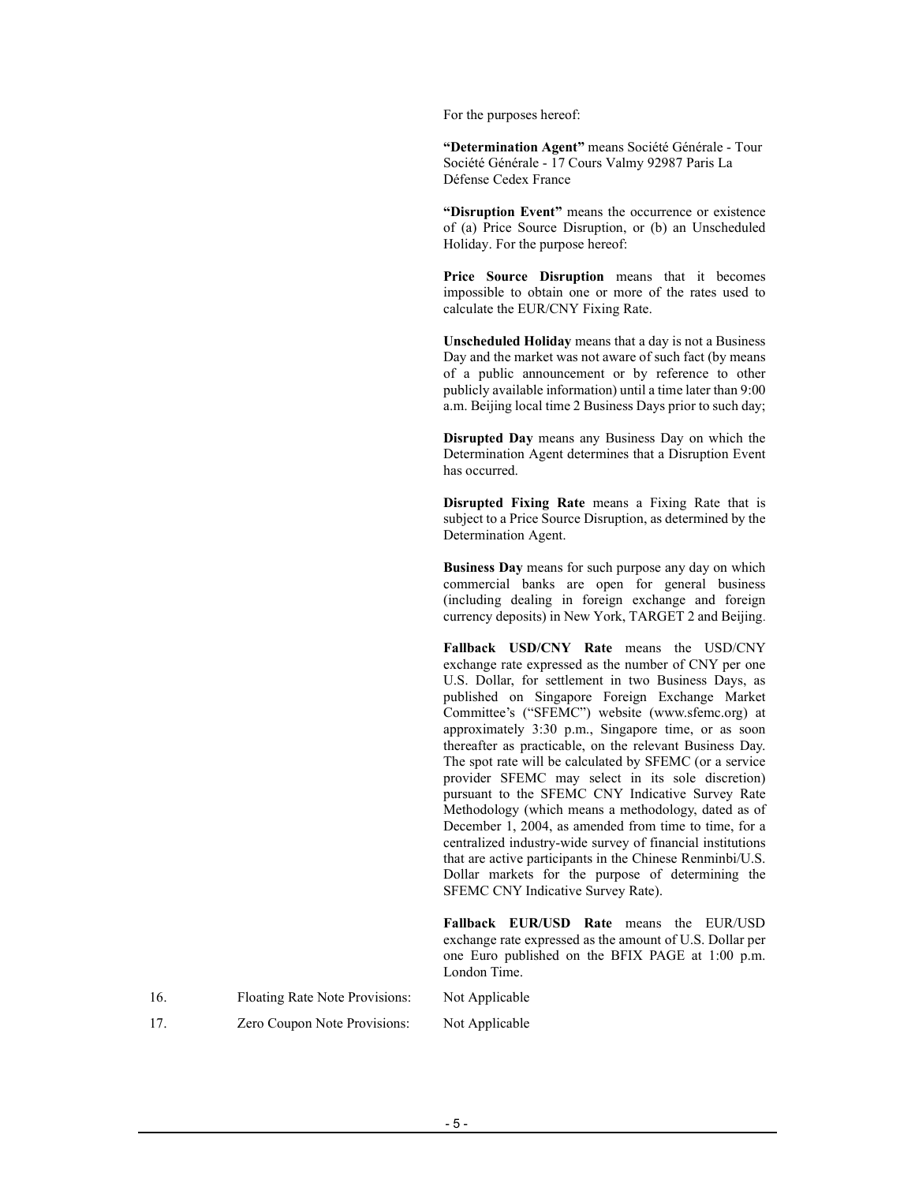For the purposes hereof:

**"Determination Agent"** means Société Générale - Tour Société Générale - 17 Cours Valmy 92987 Paris La Défense Cedex France

**"Disruption Event"** means the occurrence or existence of (a) Price Source Disruption, or (b) an Unscheduled Holiday. For the purpose hereof:

**Price Source Disruption** means that it becomes impossible to obtain one or more of the rates used to calculate the EUR/CNY Fixing Rate.

**Unscheduled Holiday** means that a day is not a Business Day and the market was not aware of such fact (by means of a public announcement or by reference to other publicly available information) until a time later than 9:00 a.m. Beijing local time 2 Business Days prior to such day;

**Disrupted Day** means any Business Day on which the Determination Agent determines that a Disruption Event has occurred.

**Disrupted Fixing Rate** means a Fixing Rate that is subject to a Price Source Disruption, as determined by the Determination Agent.

**Business Day** means for such purpose any day on which commercial banks are open for general business (including dealing in foreign exchange and foreign currency deposits) in New York, TARGET 2 and Beijing.

**Fallback USD/CNY Rate** means the USD/CNY exchange rate expressed as the number of CNY per one U.S. Dollar, for settlement in two Business Days, as published on Singapore Foreign Exchange Market Committee's ("SFEMC") website (www.sfemc.org) at approximately 3:30 p.m., Singapore time, or as soon thereafter as practicable, on the relevant Business Day. The spot rate will be calculated by SFEMC (or a service provider SFEMC may select in its sole discretion) pursuant to the SFEMC CNY Indicative Survey Rate Methodology (which means a methodology, dated as of December 1, 2004, as amended from time to time, for a centralized industry-wide survey of financial institutions that are active participants in the Chinese Renminbi/U.S. Dollar markets for the purpose of determining the SFEMC CNY Indicative Survey Rate).

**Fallback EUR/USD Rate** means the EUR/USD exchange rate expressed as the amount of U.S. Dollar per one Euro published on the BFIX PAGE at 1:00 p.m. London Time.

| 16. | Floating Rate Note Provisions: | Not Applicable |
|-----|--------------------------------|----------------|
|     |                                |                |

17. Zero Coupon Note Provisions: Not Applicable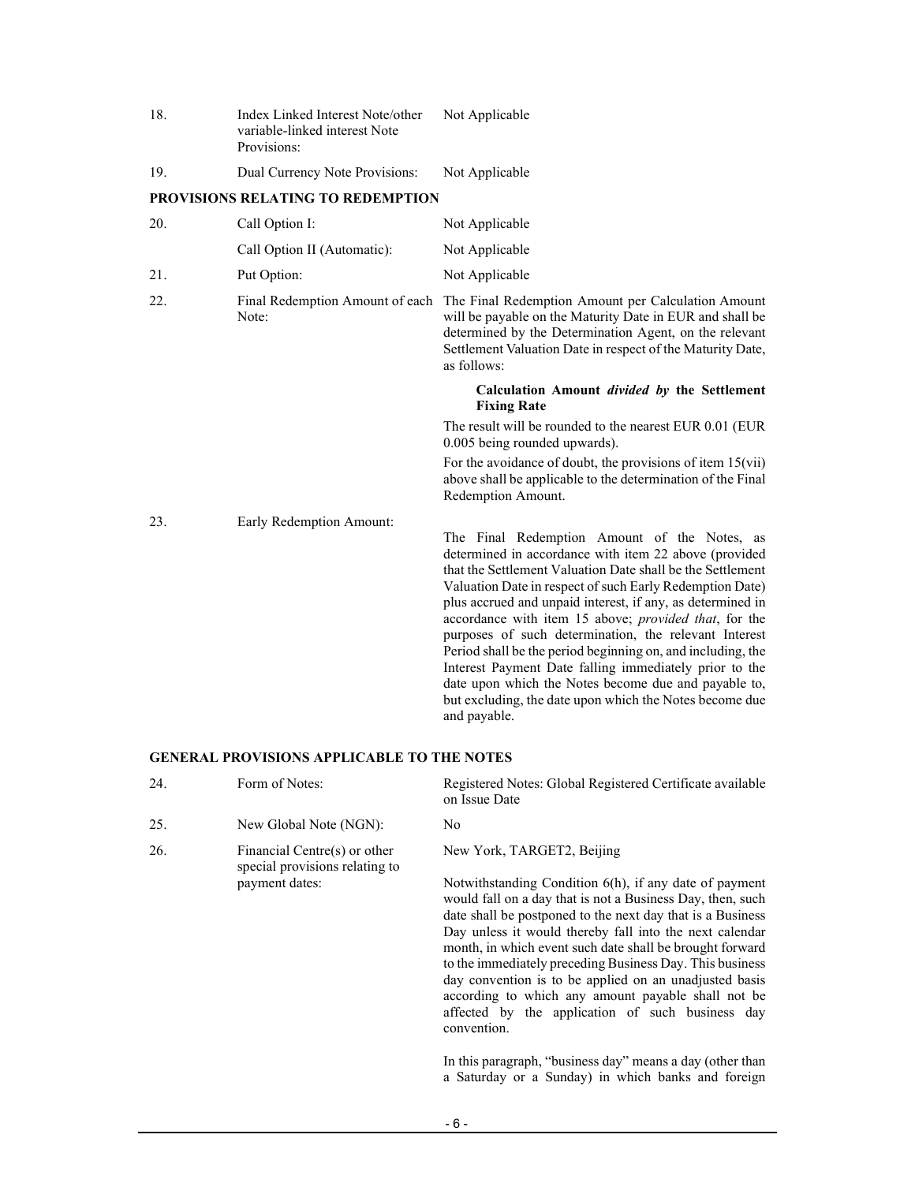| 18. | Index Linked Interest Note/other<br>variable-linked interest Note<br>Provisions: | Not Applicable                                                                                                                                                                                                                                                                                                                                                                                                                                                                                                                                                                                                                                                              |
|-----|----------------------------------------------------------------------------------|-----------------------------------------------------------------------------------------------------------------------------------------------------------------------------------------------------------------------------------------------------------------------------------------------------------------------------------------------------------------------------------------------------------------------------------------------------------------------------------------------------------------------------------------------------------------------------------------------------------------------------------------------------------------------------|
| 19. | Dual Currency Note Provisions:                                                   | Not Applicable                                                                                                                                                                                                                                                                                                                                                                                                                                                                                                                                                                                                                                                              |
|     | <b>PROVISIONS RELATING TO REDEMPTION</b>                                         |                                                                                                                                                                                                                                                                                                                                                                                                                                                                                                                                                                                                                                                                             |
| 20. | Call Option I:                                                                   | Not Applicable                                                                                                                                                                                                                                                                                                                                                                                                                                                                                                                                                                                                                                                              |
|     | Call Option II (Automatic):                                                      | Not Applicable                                                                                                                                                                                                                                                                                                                                                                                                                                                                                                                                                                                                                                                              |
| 21. | Put Option:                                                                      | Not Applicable                                                                                                                                                                                                                                                                                                                                                                                                                                                                                                                                                                                                                                                              |
| 22. | Final Redemption Amount of each<br>Note:                                         | The Final Redemption Amount per Calculation Amount<br>will be payable on the Maturity Date in EUR and shall be<br>determined by the Determination Agent, on the relevant<br>Settlement Valuation Date in respect of the Maturity Date,<br>as follows:                                                                                                                                                                                                                                                                                                                                                                                                                       |
|     |                                                                                  | Calculation Amount <i>divided</i> by the Settlement<br><b>Fixing Rate</b>                                                                                                                                                                                                                                                                                                                                                                                                                                                                                                                                                                                                   |
|     |                                                                                  | The result will be rounded to the nearest EUR 0.01 (EUR<br>0.005 being rounded upwards).                                                                                                                                                                                                                                                                                                                                                                                                                                                                                                                                                                                    |
|     |                                                                                  | For the avoidance of doubt, the provisions of item $15(vii)$<br>above shall be applicable to the determination of the Final<br>Redemption Amount.                                                                                                                                                                                                                                                                                                                                                                                                                                                                                                                           |
| 23. | Early Redemption Amount:                                                         | The Final Redemption Amount of the Notes, as<br>determined in accordance with item 22 above (provided<br>that the Settlement Valuation Date shall be the Settlement<br>Valuation Date in respect of such Early Redemption Date)<br>plus accrued and unpaid interest, if any, as determined in<br>accordance with item 15 above; provided that, for the<br>purposes of such determination, the relevant Interest<br>Period shall be the period beginning on, and including, the<br>Interest Payment Date falling immediately prior to the<br>date upon which the Notes become due and payable to,<br>but excluding, the date upon which the Notes become due<br>and payable. |

## **GENERAL PROVISIONS APPLICABLE TO THE NOTES**

| 24. | Form of Notes:                                                 | Registered Notes: Global Registered Certificate available<br>on Issue Date                                                                                                                                                                                                                                                                                                                                                                                                                                                                               |
|-----|----------------------------------------------------------------|----------------------------------------------------------------------------------------------------------------------------------------------------------------------------------------------------------------------------------------------------------------------------------------------------------------------------------------------------------------------------------------------------------------------------------------------------------------------------------------------------------------------------------------------------------|
| 25. | New Global Note (NGN):                                         | No.                                                                                                                                                                                                                                                                                                                                                                                                                                                                                                                                                      |
| 26. | Financial Centre(s) or other<br>special provisions relating to | New York, TARGET2, Beijing                                                                                                                                                                                                                                                                                                                                                                                                                                                                                                                               |
|     | payment dates:                                                 | Notwithstanding Condition 6(h), if any date of payment<br>would fall on a day that is not a Business Day, then, such<br>date shall be postponed to the next day that is a Business<br>Day unless it would thereby fall into the next calendar<br>month, in which event such date shall be brought forward<br>to the immediately preceding Business Day. This business<br>day convention is to be applied on an unadjusted basis<br>according to which any amount payable shall not be<br>affected by the application of such business day<br>convention. |

In this paragraph, "business day" means a day (other than a Saturday or a Sunday) in which banks and foreign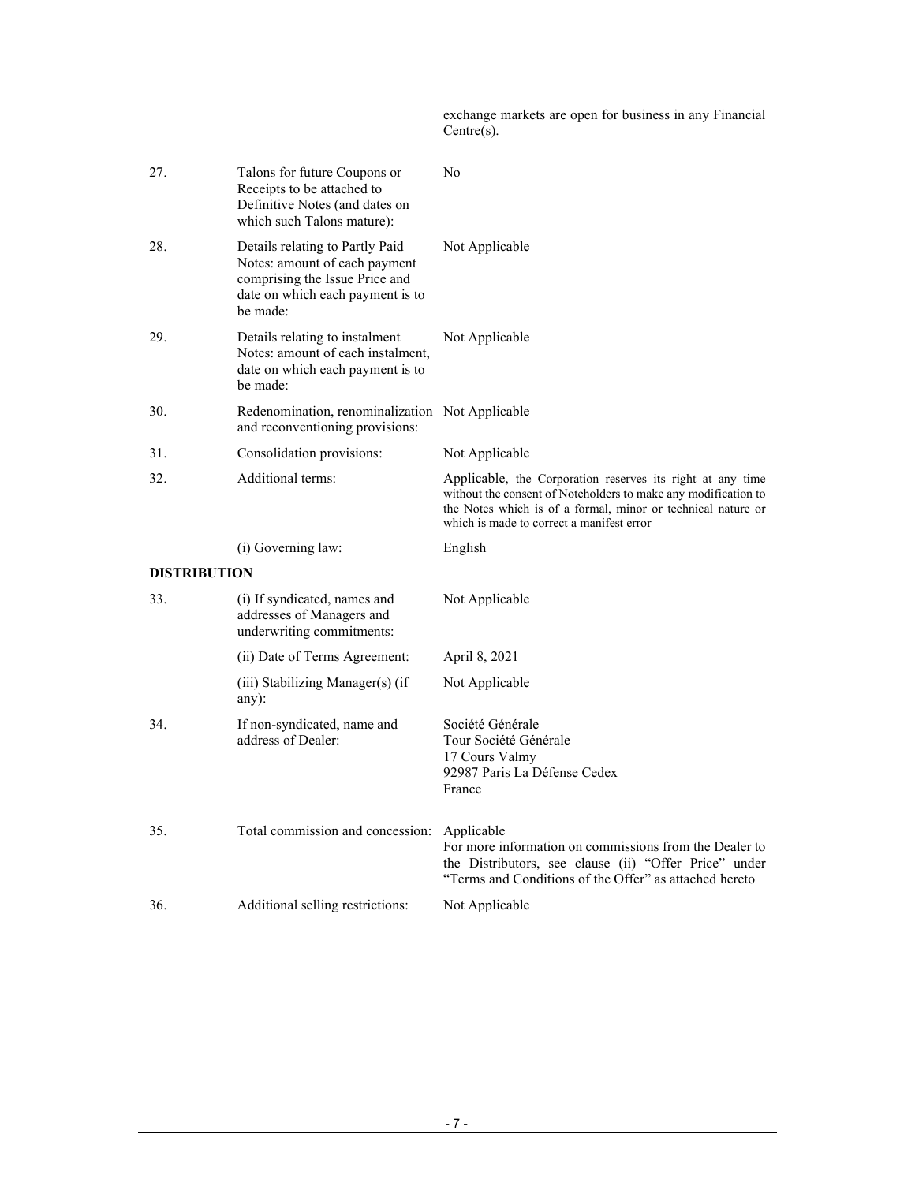exchange markets are open for business in any Financial Centre(s).

| 27.                 | Talons for future Coupons or<br>Receipts to be attached to<br>Definitive Notes (and dates on<br>which such Talons mature):                         | No                                                                                                                                                                                                                                        |
|---------------------|----------------------------------------------------------------------------------------------------------------------------------------------------|-------------------------------------------------------------------------------------------------------------------------------------------------------------------------------------------------------------------------------------------|
| 28.                 | Details relating to Partly Paid<br>Notes: amount of each payment<br>comprising the Issue Price and<br>date on which each payment is to<br>be made: | Not Applicable                                                                                                                                                                                                                            |
| 29.                 | Details relating to instalment<br>Notes: amount of each instalment,<br>date on which each payment is to<br>be made:                                | Not Applicable                                                                                                                                                                                                                            |
| 30.                 | Redenomination, renominalization Not Applicable<br>and reconventioning provisions:                                                                 |                                                                                                                                                                                                                                           |
| 31.                 | Consolidation provisions:                                                                                                                          | Not Applicable                                                                                                                                                                                                                            |
| 32.                 | Additional terms:                                                                                                                                  | Applicable, the Corporation reserves its right at any time<br>without the consent of Noteholders to make any modification to<br>the Notes which is of a formal, minor or technical nature or<br>which is made to correct a manifest error |
|                     |                                                                                                                                                    |                                                                                                                                                                                                                                           |
|                     | (i) Governing law:                                                                                                                                 | English                                                                                                                                                                                                                                   |
| <b>DISTRIBUTION</b> |                                                                                                                                                    |                                                                                                                                                                                                                                           |
| 33.                 | (i) If syndicated, names and<br>addresses of Managers and<br>underwriting commitments:                                                             | Not Applicable                                                                                                                                                                                                                            |
|                     | (ii) Date of Terms Agreement:                                                                                                                      | April 8, 2021                                                                                                                                                                                                                             |
|                     | (iii) Stabilizing Manager(s) (if<br>any):                                                                                                          | Not Applicable                                                                                                                                                                                                                            |
| 34.                 | If non-syndicated, name and<br>address of Dealer:                                                                                                  | Société Générale<br>Tour Société Générale<br>17 Cours Valmy<br>92987 Paris La Défense Cedex<br>France                                                                                                                                     |
| 35.                 | Total commission and concession:                                                                                                                   | Applicable<br>For more information on commissions from the Dealer to<br>the Distributors, see clause (ii) "Offer Price" under<br>"Terms and Conditions of the Offer" as attached hereto                                                   |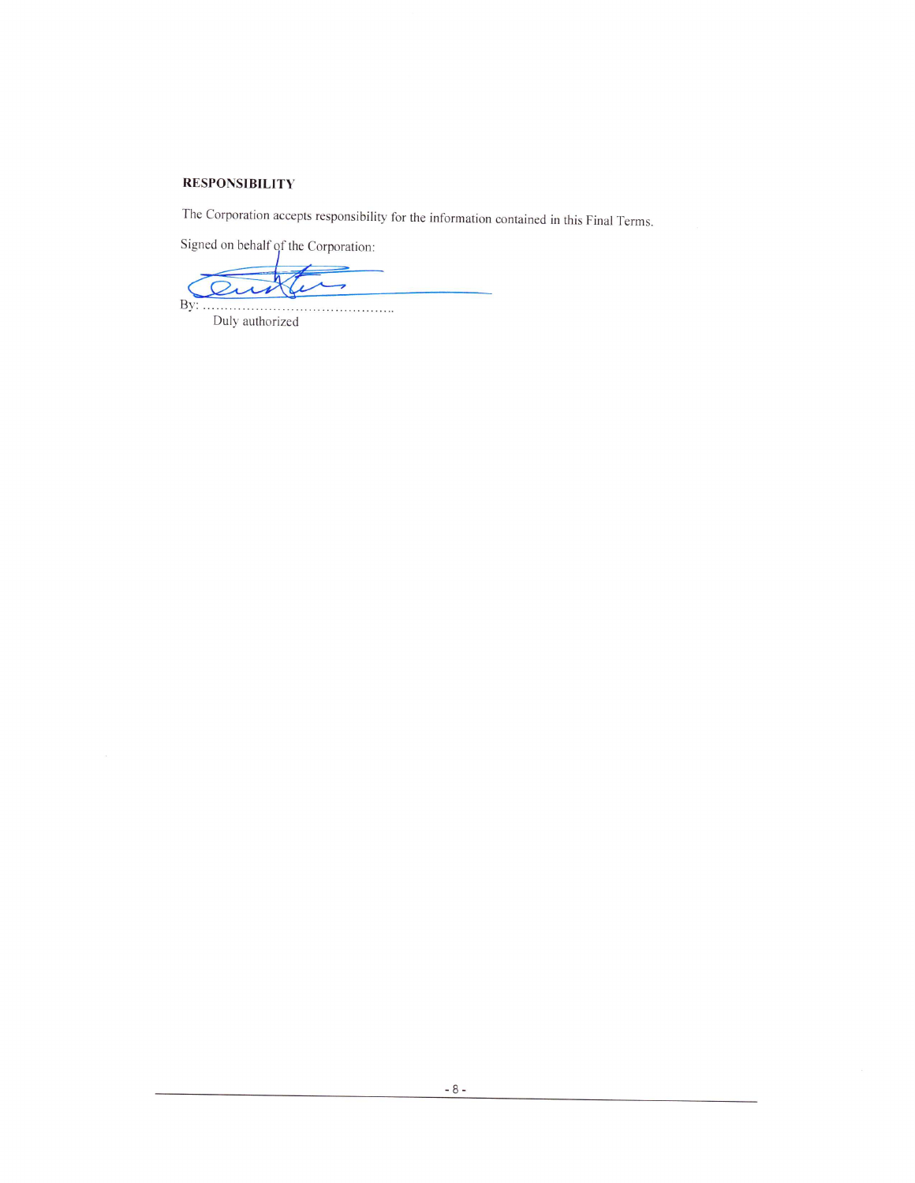## **RESPONSIBILITY**

The Corporation accepts responsibility for the information contained in this Final Terms.

Signed on behalf of the Corporation:

 $\overline{a}$  $\overline{\phantom{a}}$ By: 

Duly authorized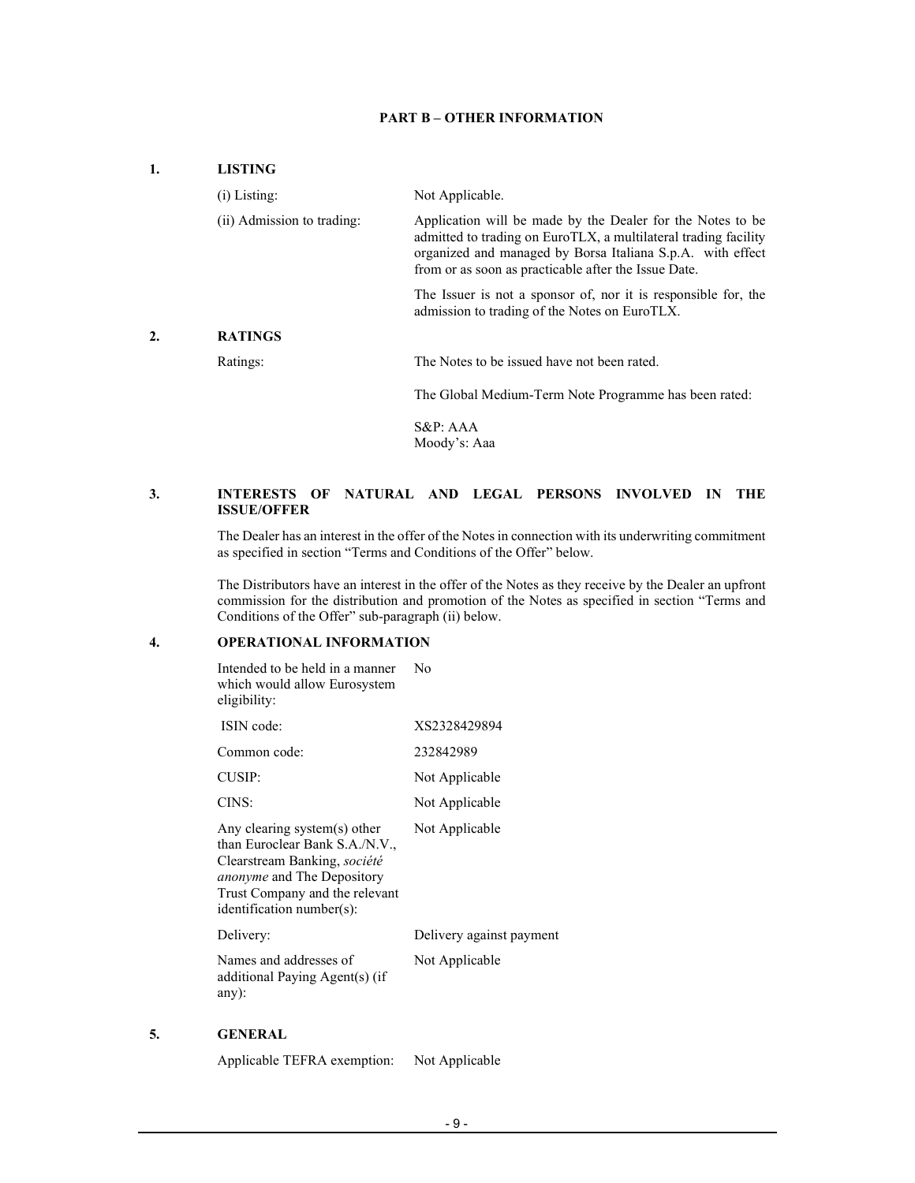#### **PART B – OTHER INFORMATION**

#### **1. LISTING**

|    | $(i)$ Listing:             | Not Applicable.                                                                                                                                                                                                                                     |
|----|----------------------------|-----------------------------------------------------------------------------------------------------------------------------------------------------------------------------------------------------------------------------------------------------|
|    | (ii) Admission to trading: | Application will be made by the Dealer for the Notes to be<br>admitted to trading on EuroTLX, a multilateral trading facility<br>organized and managed by Borsa Italiana S.p.A. with effect<br>from or as soon as practicable after the Issue Date. |
|    |                            | The Issuer is not a sponsor of, nor it is responsible for, the<br>admission to trading of the Notes on EuroTLX.                                                                                                                                     |
| 2. | <b>RATINGS</b>             |                                                                                                                                                                                                                                                     |
|    | Ratings:                   | The Notes to be issued have not been rated.                                                                                                                                                                                                         |
|    |                            | The Global Medium-Term Note Programme has been rated:                                                                                                                                                                                               |
|    |                            | $S\&P: AAA$<br>Moody's: Aaa                                                                                                                                                                                                                         |

#### **3. INTERESTS OF NATURAL AND LEGAL PERSONS INVOLVED IN THE ISSUE/OFFER**

 The Dealer has an interest in the offer of the Notes in connection with its underwriting commitment as specified in section "Terms and Conditions of the Offer" below.

The Distributors have an interest in the offer of the Notes as they receive by the Dealer an upfront commission for the distribution and promotion of the Notes as specified in section "Terms and Conditions of the Offer" sub-paragraph (ii) below.

## **4. OPERATIONAL INFORMATION**

 Intended to be held in a manner which would allow Eurosystem eligibility: No ISIN code: XS2328429894 Common code: 232842989 CUSIP: Not Applicable CINS: Not Applicable Any clearing system(s) other than Euroclear Bank S.A./N.V., Clearstream Banking, *société anonyme* and The Depository Trust Company and the relevant identification number(s): Not Applicable Delivery: Delivery against payment Names and addresses of additional Paying Agent(s) (if any): Not Applicable

## **5. GENERAL**

Applicable TEFRA exemption: Not Applicable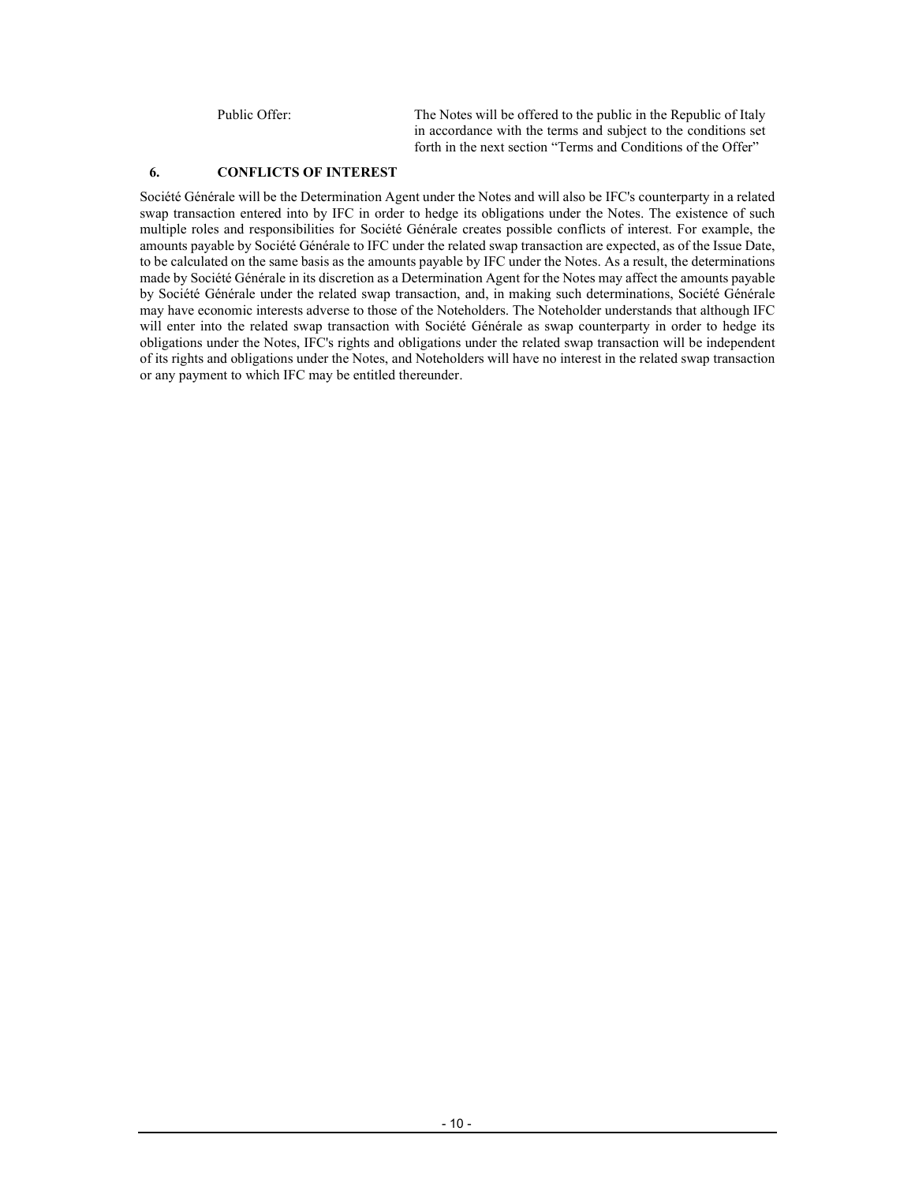Public Offer: The Notes will be offered to the public in the Republic of Italy in accordance with the terms and subject to the conditions set forth in the next section "Terms and Conditions of the Offer"

## **6. CONFLICTS OF INTEREST**

Société Générale will be the Determination Agent under the Notes and will also be IFC's counterparty in a related swap transaction entered into by IFC in order to hedge its obligations under the Notes. The existence of such multiple roles and responsibilities for Société Générale creates possible conflicts of interest. For example, the amounts payable by Société Générale to IFC under the related swap transaction are expected, as of the Issue Date, to be calculated on the same basis as the amounts payable by IFC under the Notes. As a result, the determinations made by Société Générale in its discretion as a Determination Agent for the Notes may affect the amounts payable by Société Générale under the related swap transaction, and, in making such determinations, Société Générale may have economic interests adverse to those of the Noteholders. The Noteholder understands that although IFC will enter into the related swap transaction with Société Générale as swap counterparty in order to hedge its obligations under the Notes, IFC's rights and obligations under the related swap transaction will be independent of its rights and obligations under the Notes, and Noteholders will have no interest in the related swap transaction or any payment to which IFC may be entitled thereunder.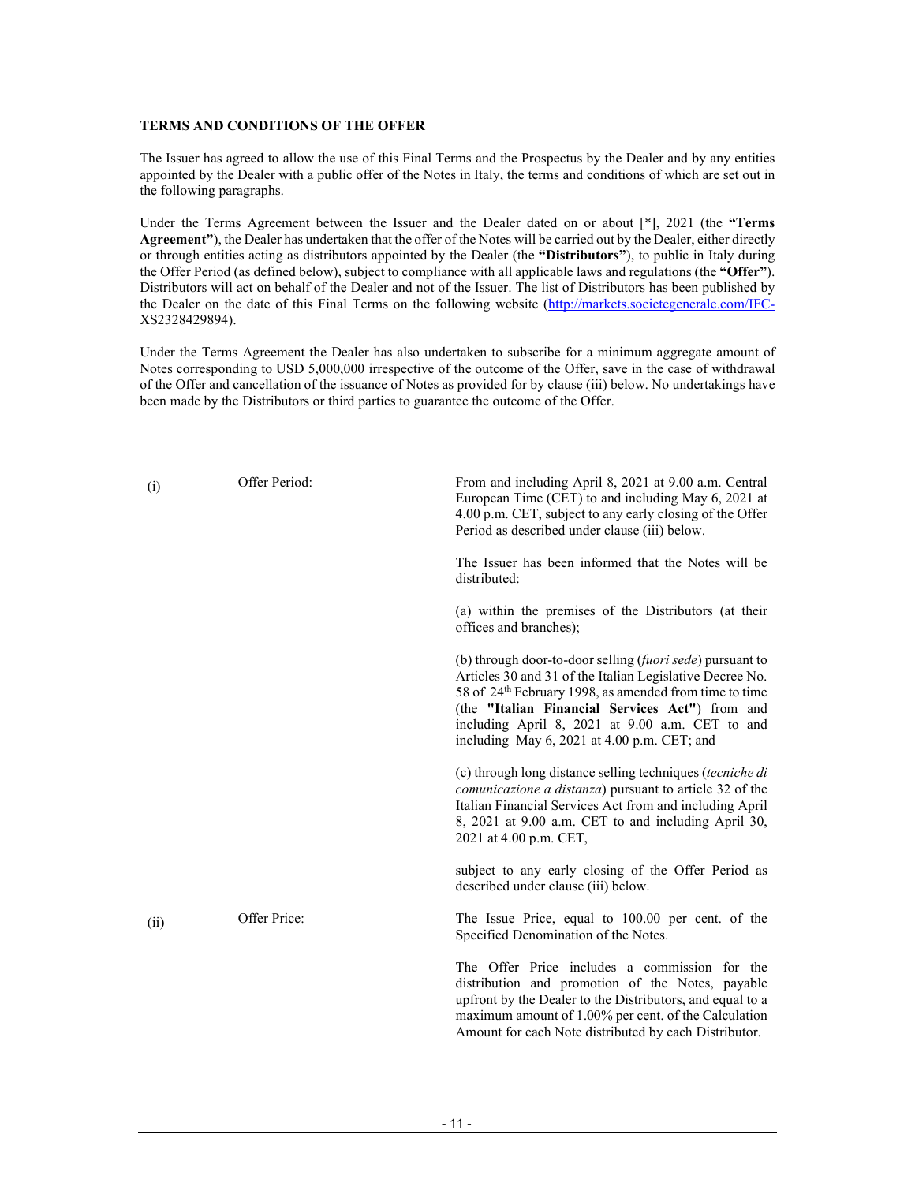#### **TERMS AND CONDITIONS OF THE OFFER**

The Issuer has agreed to allow the use of this Final Terms and the Prospectus by the Dealer and by any entities appointed by the Dealer with a public offer of the Notes in Italy, the terms and conditions of which are set out in the following paragraphs.

Under the Terms Agreement between the Issuer and the Dealer dated on or about [\*], 2021 (the **"Terms Agreement"**), the Dealer has undertaken that the offer of the Notes will be carried out by the Dealer, either directly or through entities acting as distributors appointed by the Dealer (the **"Distributors"**), to public in Italy during the Offer Period (as defined below), subject to compliance with all applicable laws and regulations (the **"Offer"**). Distributors will act on behalf of the Dealer and not of the Issuer. The list of Distributors has been published by the Dealer on the date of this Final Terms on the following website (http://markets.societegenerale.com/IFC-XS2328429894).

Under the Terms Agreement the Dealer has also undertaken to subscribe for a minimum aggregate amount of Notes corresponding to USD 5,000,000 irrespective of the outcome of the Offer, save in the case of withdrawal of the Offer and cancellation of the issuance of Notes as provided for by clause (iii) below. No undertakings have been made by the Distributors or third parties to guarantee the outcome of the Offer.

| (i)  | Offer Period: | From and including April 8, 2021 at 9.00 a.m. Central<br>European Time (CET) to and including May 6, 2021 at<br>4.00 p.m. CET, subject to any early closing of the Offer<br>Period as described under clause (iii) below.                                                                                                                                 |
|------|---------------|-----------------------------------------------------------------------------------------------------------------------------------------------------------------------------------------------------------------------------------------------------------------------------------------------------------------------------------------------------------|
|      |               | The Issuer has been informed that the Notes will be<br>distributed:                                                                                                                                                                                                                                                                                       |
|      |               | (a) within the premises of the Distributors (at their<br>offices and branches);                                                                                                                                                                                                                                                                           |
|      |               | (b) through door-to-door selling ( <i>fuori sede</i> ) pursuant to<br>Articles 30 and 31 of the Italian Legislative Decree No.<br>58 of 24 <sup>th</sup> February 1998, as amended from time to time<br>(the "Italian Financial Services Act") from and<br>including April 8, 2021 at 9.00 a.m. CET to and<br>including May 6, 2021 at 4.00 p.m. CET; and |
|      |               | (c) through long distance selling techniques (tecniche di<br>comunicazione a distanza) pursuant to article 32 of the<br>Italian Financial Services Act from and including April<br>8, 2021 at 9.00 a.m. CET to and including April 30,<br>2021 at 4.00 p.m. CET,                                                                                          |
|      |               | subject to any early closing of the Offer Period as<br>described under clause (iii) below.                                                                                                                                                                                                                                                                |
| (ii) | Offer Price:  | The Issue Price, equal to 100.00 per cent. of the<br>Specified Denomination of the Notes.                                                                                                                                                                                                                                                                 |
|      |               | The Offer Price includes a commission for the<br>distribution and promotion of the Notes, payable<br>upfront by the Dealer to the Distributors, and equal to a<br>maximum amount of 1.00% per cent. of the Calculation<br>Amount for each Note distributed by each Distributor.                                                                           |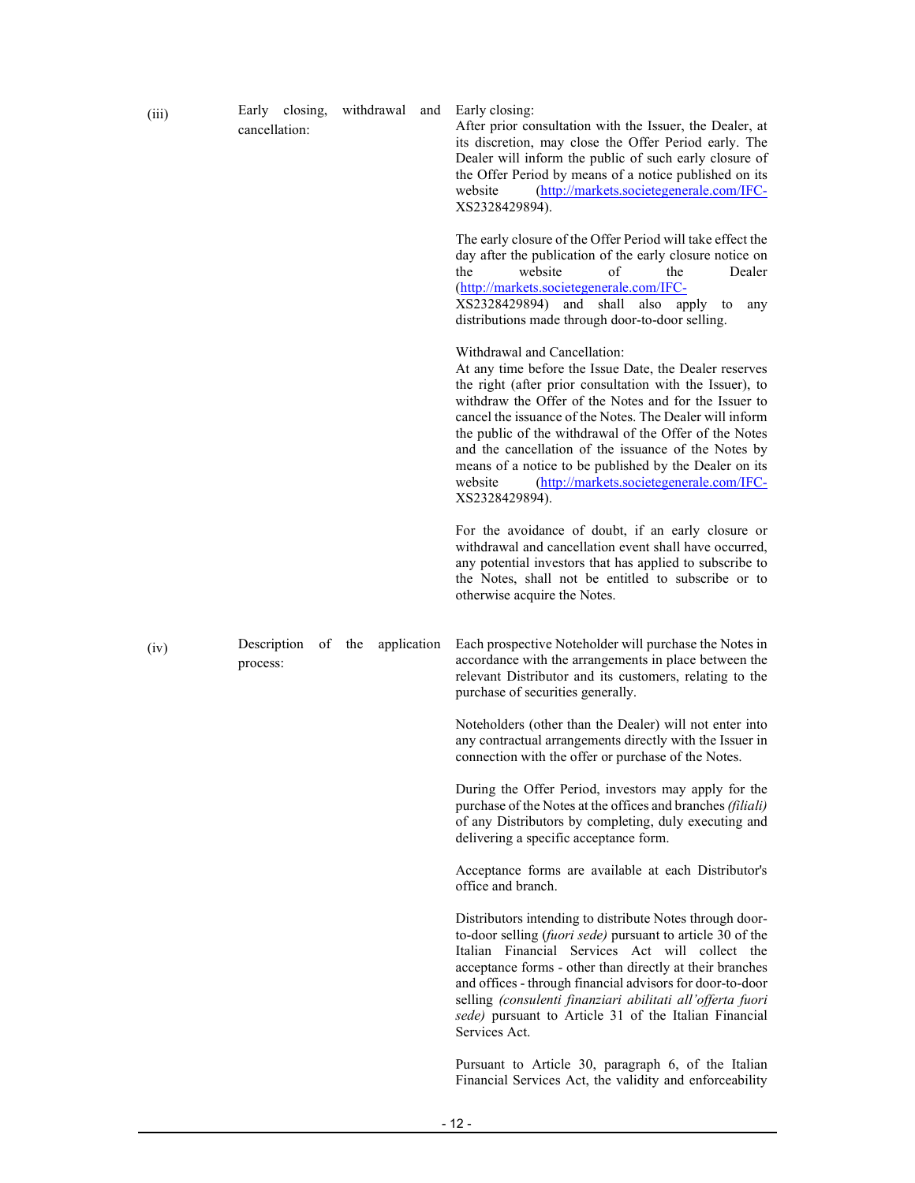| (iii) | Early closing,<br>cancellation: | withdrawal<br>and     | Early closing:<br>After prior consultation with the Issuer, the Dealer, at<br>its discretion, may close the Offer Period early. The<br>Dealer will inform the public of such early closure of<br>the Offer Period by means of a notice published on its<br>(http://markets.societegenerale.com/IFC-<br>website<br>XS2328429894).                                                                                                                                                                                             |
|-------|---------------------------------|-----------------------|------------------------------------------------------------------------------------------------------------------------------------------------------------------------------------------------------------------------------------------------------------------------------------------------------------------------------------------------------------------------------------------------------------------------------------------------------------------------------------------------------------------------------|
|       |                                 |                       | The early closure of the Offer Period will take effect the<br>day after the publication of the early closure notice on<br>website<br>οf<br>the<br>the<br>Dealer<br>(http://markets.societegenerale.com/IFC-<br>XS2328429894) and<br>shall also<br>apply<br>to<br>any<br>distributions made through door-to-door selling.                                                                                                                                                                                                     |
|       |                                 |                       | Withdrawal and Cancellation:<br>At any time before the Issue Date, the Dealer reserves<br>the right (after prior consultation with the Issuer), to<br>withdraw the Offer of the Notes and for the Issuer to<br>cancel the issuance of the Notes. The Dealer will inform<br>the public of the withdrawal of the Offer of the Notes<br>and the cancellation of the issuance of the Notes by<br>means of a notice to be published by the Dealer on its<br>(http://markets.societegenerale.com/IFC-<br>website<br>XS2328429894). |
|       |                                 |                       | For the avoidance of doubt, if an early closure or<br>withdrawal and cancellation event shall have occurred,<br>any potential investors that has applied to subscribe to<br>the Notes, shall not be entitled to subscribe or to<br>otherwise acquire the Notes.                                                                                                                                                                                                                                                              |
| (iv)  | Description<br>process:         | of the<br>application | Each prospective Noteholder will purchase the Notes in<br>accordance with the arrangements in place between the<br>relevant Distributor and its customers, relating to the<br>purchase of securities generally.                                                                                                                                                                                                                                                                                                              |
|       |                                 |                       | Noteholders (other than the Dealer) will not enter into<br>any contractual arrangements directly with the Issuer in<br>connection with the offer or purchase of the Notes.                                                                                                                                                                                                                                                                                                                                                   |
|       |                                 |                       | During the Offer Period, investors may apply for the<br>purchase of the Notes at the offices and branches (filiali)<br>of any Distributors by completing, duly executing and<br>delivering a specific acceptance form.                                                                                                                                                                                                                                                                                                       |
|       |                                 |                       | Acceptance forms are available at each Distributor's<br>office and branch.                                                                                                                                                                                                                                                                                                                                                                                                                                                   |
|       |                                 |                       | Distributors intending to distribute Notes through door-<br>to-door selling (fuori sede) pursuant to article 30 of the<br>Italian Financial Services Act will collect the<br>acceptance forms - other than directly at their branches<br>and offices - through financial advisors for door-to-door<br>selling (consulenti finanziari abilitati all'offerta fuori<br>sede) pursuant to Article 31 of the Italian Financial<br>Services Act.                                                                                   |
|       |                                 |                       | Pursuant to Article 30, paragraph 6, of the Italian<br>Financial Services Act, the validity and enforceability                                                                                                                                                                                                                                                                                                                                                                                                               |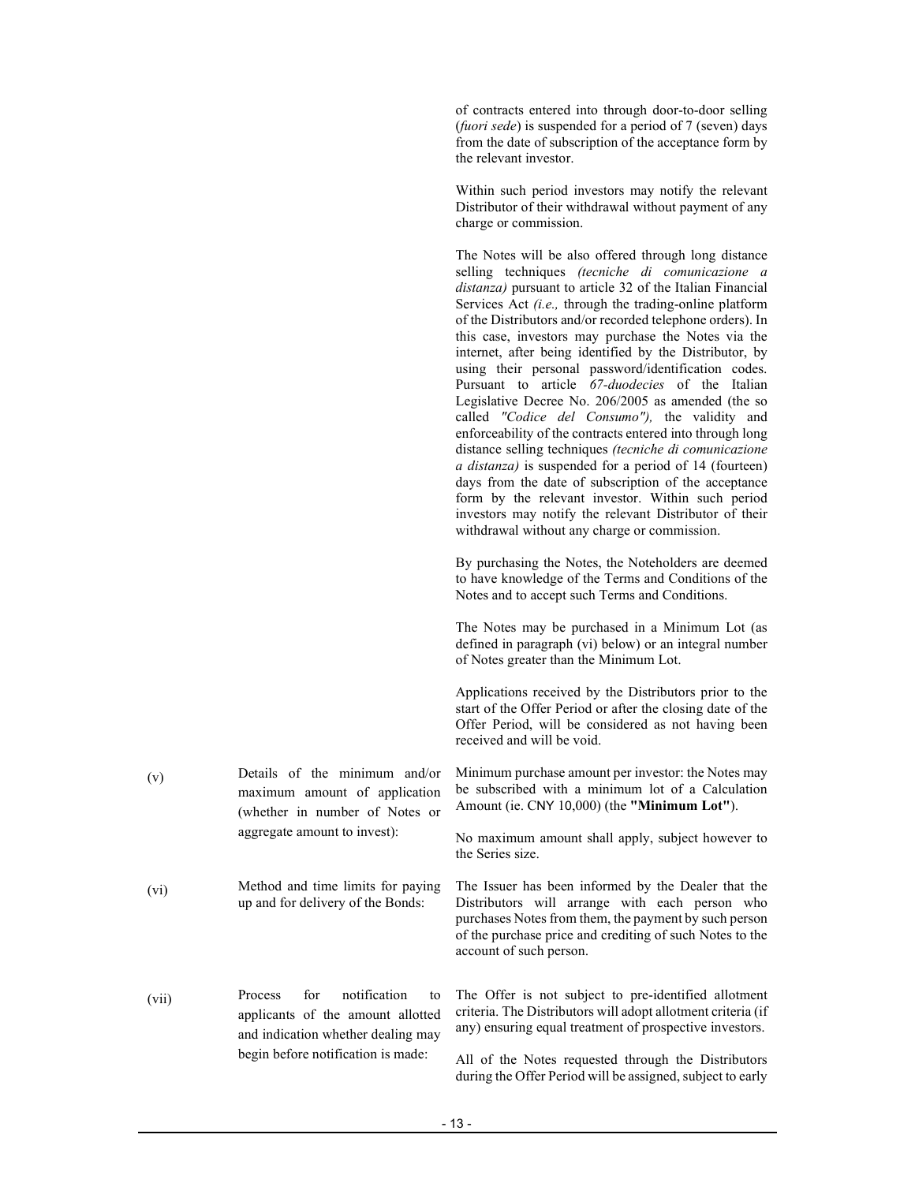of contracts entered into through door-to-door selling (*fuori sede*) is suspended for a period of 7 (seven) days from the date of subscription of the acceptance form by the relevant investor.

Within such period investors may notify the relevant Distributor of their withdrawal without payment of any charge or commission.

The Notes will be also offered through long distance

selling techniques *(tecniche di comunicazione a distanza)* pursuant to article 32 of the Italian Financial Services Act *(i.e.,* through the trading-online platform of the Distributors and/or recorded telephone orders). In this case, investors may purchase the Notes via the internet, after being identified by the Distributor, by using their personal password/identification codes. Pursuant to article *67-duodecies* of the Italian Legislative Decree No. 206/2005 as amended (the so called *"Codice del Consumo"),* the validity and enforceability of the contracts entered into through long distance selling techniques *(tecniche di comunicazione a distanza)* is suspended for a period of 14 (fourteen) days from the date of subscription of the acceptance form by the relevant investor. Within such period investors may notify the relevant Distributor of their withdrawal without any charge or commission. By purchasing the Notes, the Noteholders are deemed to have knowledge of the Terms and Conditions of the Notes and to accept such Terms and Conditions. The Notes may be purchased in a Minimum Lot (as defined in paragraph (vi) below) or an integral number of Notes greater than the Minimum Lot. Applications received by the Distributors prior to the start of the Offer Period or after the closing date of the Offer Period, will be considered as not having been received and will be void. (v) Details of the minimum and/or maximum amount of application (whether in number of Notes or aggregate amount to invest): Minimum purchase amount per investor: the Notes may be subscribed with a minimum lot of a Calculation Amount (ie. CNY 10,000) (the **"Minimum Lot"**). No maximum amount shall apply, subject however to the Series size. (vi) Method and time limits for paying up and for delivery of the Bonds: The Issuer has been informed by the Dealer that the Distributors will arrange with each person who purchases Notes from them, the payment by such person of the purchase price and crediting of such Notes to the account of such person. (vii) Process for notification to applicants of the amount allotted and indication whether dealing may begin before notification is made: The Offer is not subject to pre-identified allotment criteria. The Distributors will adopt allotment criteria (if any) ensuring equal treatment of prospective investors. All of the Notes requested through the Distributors during the Offer Period will be assigned, subject to early